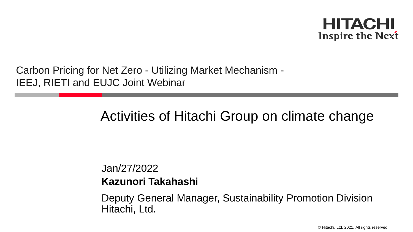

Carbon Pricing for Net Zero - Utilizing Market Mechanism - IEEJ, RIETI and EUJC Joint Webinar

## Activities of Hitachi Group on climate change

Jan/27/2022 **Kazunori Takahashi**

Hitachi, Ltd. Deputy General Manager, Sustainability Promotion Division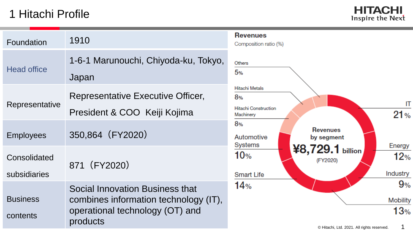## 1 Hitachi Profile



| Foundation                   | 1910                                                                                                                    | <b>Revenues</b><br>Composition r |
|------------------------------|-------------------------------------------------------------------------------------------------------------------------|----------------------------------|
| <b>Head office</b>           | 1-6-1 Marunouchi, Chiyoda-ku, Tokyo,<br>Japan                                                                           | <b>Others</b><br>5%              |
|                              | <b>Representative Executive Officer,</b>                                                                                | <b>Hitachi Metals</b><br>8%      |
| Representative               | President & COO Keiji Kojima                                                                                            | Hitachi Construo<br>Machinery    |
| <b>Employees</b>             | 350,864 (FY2020)                                                                                                        | 8%<br>Automotive<br>Systems      |
| Consolidated<br>subsidiaries | 871 (FY2020)                                                                                                            | 10%<br><b>Smart Life</b>         |
| <b>Business</b><br>contents  | Social Innovation Business that<br>combines information technology (IT),<br>operational technology (OT) and<br>products | 14%                              |

# osition ratio (%) Metals

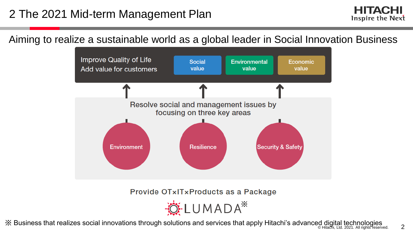Aiming to realize a sustainable world as a global leader in Social Innovation Business



Provide OTxITxProducts as a Package

≸LUMADA<sup>\*</sup>

ik Business that realizes social innovations through solutions and services that apply Hitachi's advanced digital technologies and services that apply Hitachi's advanced digital technologies 221. All rights reserved.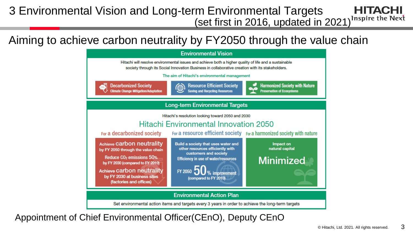#### 3 Environmental Vision and Long-term Environmental Targets HITACHI (set first in 2016, updated in 2021)<sup>Inspire the Next</sup>

Aiming to achieve carbon neutrality by FY2050 through the value chain



Appointment of Chief Environmental Officer(CEnO), Deputy CEnO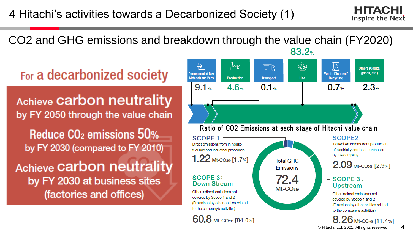## 4 Hitachi's activities towards a Decarbonized Society (1)



#### CO2 and GHG emissions and breakdown through the value chain (FY2020)  $83.2%$

# For a decarbonized society

**Achieve Carbon neutrality** by FY 2050 through the value chain

Reduce CO<sub>2</sub> emissions 50% by FY 2030 (compared to FY 2010)

**Achieve Carbon neutrality** by FY 2030 at business sites (factories and offices)

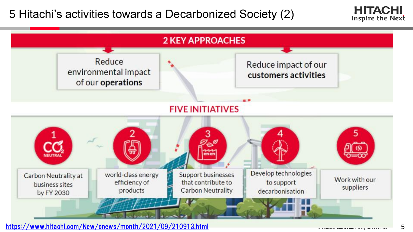5 Hitachi's activities towards a Decarbonized Society (2)





<https://www.hitachi.com/New/cnews/month/2021/09/210913.html> **Example 2021. All rights reserved. All rights reserved.** 5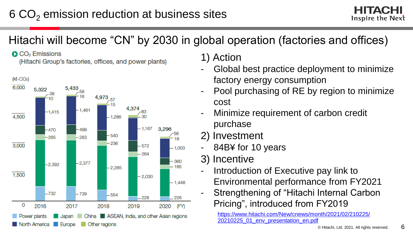## Hitachi will become "CN" by 2030 in global operation (factories and offices)

CO<sub>2</sub> Emissions

(Hitachi Group's factories, offices, and power plants)



1) Action

- Global best practice deployment to minimize factory energy consumption
- Pool purchasing of RE by region to minimize cost
- Minimize requirement of carbon credit purchase
- 2) Investment
- 84B¥ for 10 years
- 3) Incentive
	- Introduction of Executive pay link to
		- Environmental performance from FY2021
	- Strengthening of "Hitachi Internal Carbon Pricing", introduced from FY2019

[https://www.hitachi.com/New/cnews/month/2021/02/210225/](https://www.hitachi.com/New/cnews/month/2021/02/210225/20210225_01_env_presentation_en.pdf) 20210225\_01\_env\_presentation\_en.pdf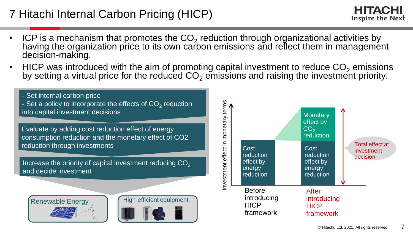## 7 Hitachi Internal Carbon Pricing (HICP)

- ICP is a mechanism that promotes the  $CO_2$  reduction through organizational activities by having the organization price to its own carbon emissions and reflect them in management decision-making.
- HICP was introduced with the aim of promoting capital investment to reduce  $CO<sub>2</sub>$  emissions by setting a virtual price for the reduced CO $_2$  emissions and raising the investment priority.

- Set internal carbon price

- Set a policy to incorporate the effects of CO<sub>2</sub> reduction into capital investment decisions

Evaluate by adding cost reduction effect of energy consumption reduction and the monetary effect of CO2 reduction through investments

Increase the priority of capital investment reducing  $CO<sub>2</sub>$ and decide investment







**HITACHI** Inspire the Next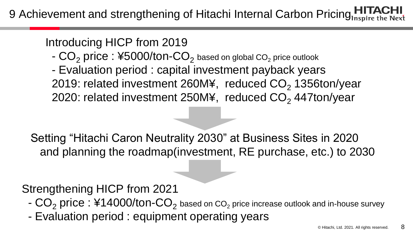9 Achievement and strengthening of Hitachi Internal Carbon Pricing

Introducing HICP from 2019

- $\mathsf{CO}_2$  <code>price</code> :  $\mathsf{\#5000/ton\text{-}CO}_2$  based on global CO $_2$  price outlook
- Evaluation period : capital investment payback years 2019: related investment 260M¥, reduced  $CO<sub>2</sub>$  1356ton/year 2020: related investment 250M¥, reduced  $CO<sub>2</sub>$  447ton/year

Setting "Hitachi Caron Neutrality 2030" at Business Sites in 2020 and planning the roadmap(investment, RE purchase, etc.) to 2030

Strengthening HICP from 2021

- $\mathsf{CO}_2$  <code>price</code> :  $\mathsf{\#14000/ton\text{-}CO}_2$  based on CO $_2$  price increase outlook and in-house survey
- Evaluation period : equipment operating years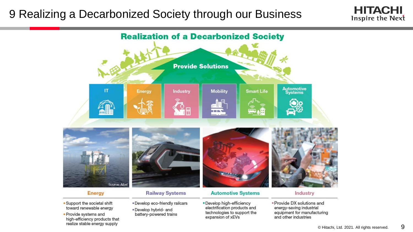#### 9 Realizing a Decarbonized Society through our Business





- Support the societal shift toward renewable energy
- · Provide systems and high-efficiency products that realize stable energy supply
- · Develop eco-friendly railcars . Develop hybrid- and
- battery-powered trains
- . Develop high-efficiency electrification products and technologies to support the expansion of xEVs
- · Provide DX solutions and energy-saving industrial equipment for manufacturing and other industries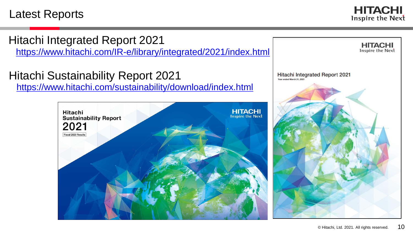#### Latest Reports

**HITACHI** Inspire the Next

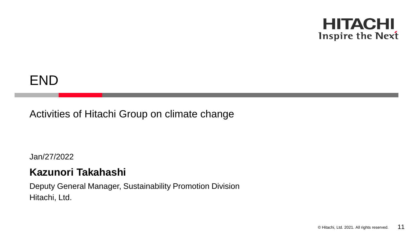#### **HITACHI** Inspire the Next

# END

#### Activities of Hitachi Group on climate change

Jan/27/2022

#### **Kazunori Takahashi**

Hitachi, Ltd. Deputy General Manager, Sustainability Promotion Division